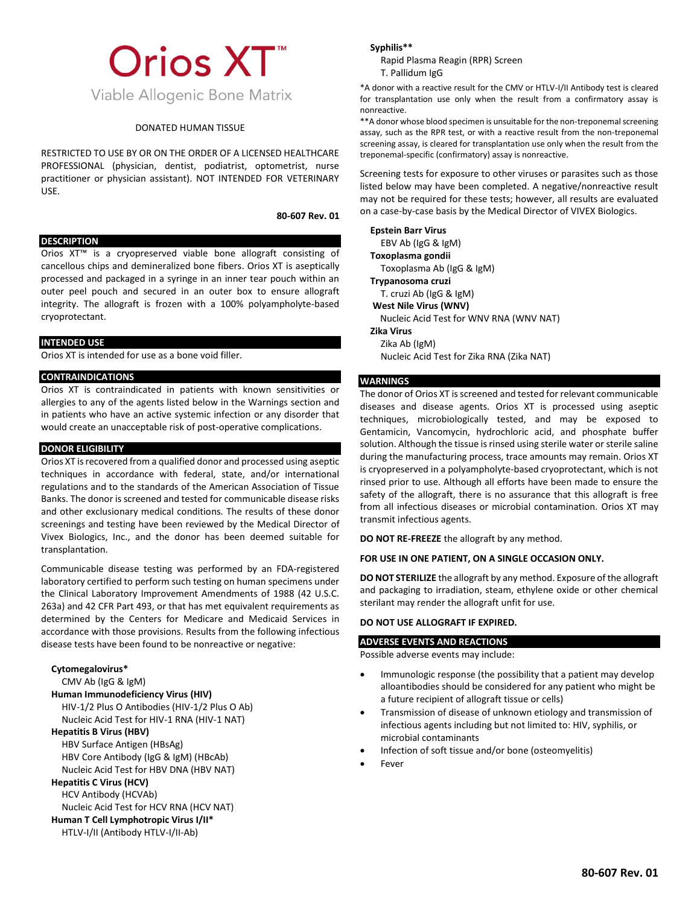# **Orios XT™** Viable Allogenic Bone Matrix

## DONATED HUMAN TISSUE

RESTRICTED TO USE BY OR ON THE ORDER OF A LICENSED HEALTHCARE PROFESSIONAL (physician, dentist, podiatrist, optometrist, nurse practitioner or physician assistant). NOT INTENDED FOR VETERINARY USE.

#### **80-607 Rev. 01**

#### **DESCRIPTION**

Orios XT™ is a cryopreserved viable bone allograft consisting of cancellous chips and demineralized bone fibers. Orios XT is aseptically processed and packaged in a syringe in an inner tear pouch within an outer peel pouch and secured in an outer box to ensure allograft integrity. The allograft is frozen with a 100% polyampholyte-based cryoprotectant.

# **INTENDED USE**

Orios XT is intended for use as a bone void filler.

## **CONTRAINDICATIONS**

Orios XT is contraindicated in patients with known sensitivities or allergies to any of the agents listed below in the Warnings section and in patients who have an active systemic infection or any disorder that would create an unacceptable risk of post-operative complications.

### **DONOR ELIGIBILITY**

Orios XT isrecovered from a qualified donor and processed using aseptic techniques in accordance with federal, state, and/or international regulations and to the standards of the American Association of Tissue Banks. The donor is screened and tested for communicable disease risks and other exclusionary medical conditions. The results of these donor screenings and testing have been reviewed by the Medical Director of Vivex Biologics, Inc., and the donor has been deemed suitable for transplantation.

Communicable disease testing was performed by an FDA-registered laboratory certified to perform such testing on human specimens under the Clinical Laboratory Improvement Amendments of 1988 (42 U.S.C. 263a) and 42 CFR Part 493, or that has met equivalent requirements as determined by the Centers for Medicare and Medicaid Services in accordance with those provisions. Results from the following infectious disease tests have been found to be nonreactive or negative:

#### **Cytomegalovirus\***

CMV Ab (IgG & IgM)

## **Human Immunodeficiency Virus (HIV)**

HIV-1/2 Plus O Antibodies (HIV-1/2 Plus O Ab) Nucleic Acid Test for HIV-1 RNA (HIV-1 NAT)

# **Hepatitis B Virus (HBV)**

HBV Surface Antigen (HBsAg) HBV Core Antibody (IgG & IgM) (HBcAb) Nucleic Acid Test for HBV DNA (HBV NAT)

## **Hepatitis C Virus (HCV)**

HCV Antibody (HCVAb)

Nucleic Acid Test for HCV RNA (HCV NAT)

# **Human T Cell Lymphotropic Virus I/II\***

HTLV-I/II (Antibody HTLV-I/II-Ab)

#### **Syphilis\*\***

Rapid Plasma Reagin (RPR) Screen T. Pallidum IgG

\*A donor with a reactive result for the CMV or HTLV-I/II Antibody test is cleared for transplantation use only when the result from a confirmatory assay is nonreactive.

\*\*A donor whose blood specimen is unsuitable for the non-treponemal screening assay, such as the RPR test, or with a reactive result from the non-treponemal screening assay, is cleared for transplantation use only when the result from the treponemal-specific (confirmatory) assay is nonreactive.

Screening tests for exposure to other viruses or parasites such as those listed below may have been completed. A negative/nonreactive result may not be required for these tests; however, all results are evaluated on a case-by-case basis by the Medical Director of VIVEX Biologics.

**Epstein Barr Virus**  EBV Ab (IgG & IgM) **Toxoplasma gondii**  Toxoplasma Ab (IgG & IgM) **Trypanosoma cruzi**  T. cruzi Ab (IgG & IgM) **West Nile Virus (WNV)** Nucleic Acid Test for WNV RNA (WNV NAT) **Zika Virus** Zika Ab (IgM) Nucleic Acid Test for Zika RNA (Zika NAT)

# **WARNINGS**

The donor of Orios XT is screened and tested for relevant communicable diseases and disease agents. Orios XT is processed using aseptic techniques, microbiologically tested, and may be exposed to Gentamicin, Vancomycin, hydrochloric acid, and phosphate buffer solution. Although the tissue is rinsed using sterile water or sterile saline during the manufacturing process, trace amounts may remain. Orios XT is cryopreserved in a polyampholyte-based cryoprotectant, which is not rinsed prior to use. Although all efforts have been made to ensure the safety of the allograft, there is no assurance that this allograft is free from all infectious diseases or microbial contamination. Orios XT may transmit infectious agents.

**DO NOT RE-FREEZE** the allograft by any method.

# **FOR USE IN ONE PATIENT, ON A SINGLE OCCASION ONLY.**

**DO NOT STERILIZE** the allograft by any method. Exposure of the allograft and packaging to irradiation, steam, ethylene oxide or other chemical sterilant may render the allograft unfit for use.

# **DO NOT USE ALLOGRAFT IF EXPIRED.**

## **ADVERSE EVENTS AND REACTIONS**

Possible adverse events may include:

- Immunologic response (the possibility that a patient may develop alloantibodies should be considered for any patient who might be a future recipient of allograft tissue or cells)
- Transmission of disease of unknown etiology and transmission of infectious agents including but not limited to: HIV, syphilis, or microbial contaminants
- Infection of soft tissue and/or bone (osteomyelitis)
- **Fever**